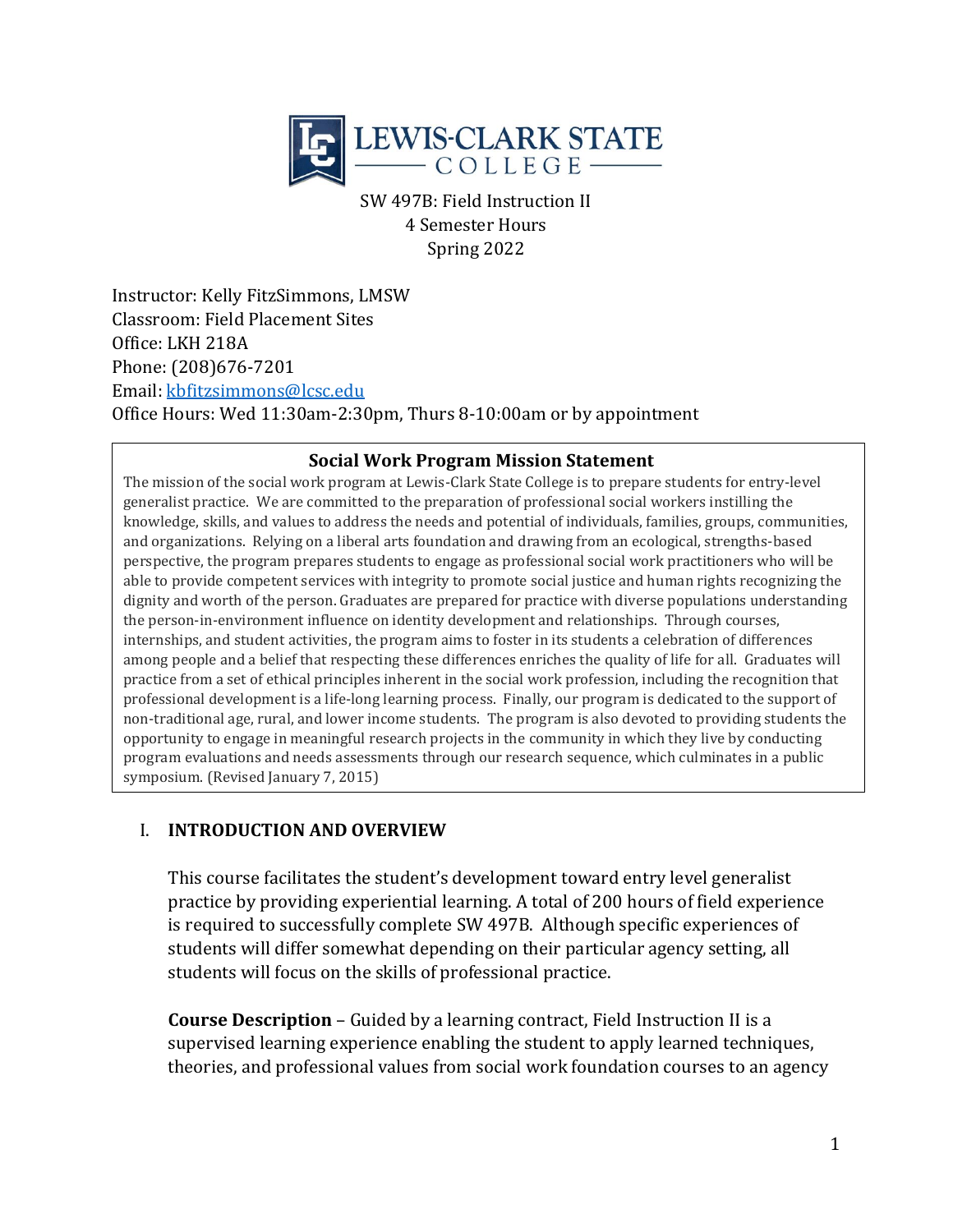

SW 497B: Field Instruction II 4 Semester Hours Spring 2022

Instructor: Kelly FitzSimmons, LMSW Classroom: Field Placement Sites Office: LKH 218A Phone: (208)676-7201 Email: [kbfitzsimmons@lcsc.edu](mailto:kbfitzsimmons@lcsc.edu)  Office Hours: Wed 11:30am-2:30pm, Thurs 8-10:00am or by appointment

#### **Social Work Program Mission Statement**

The mission of the social work program at Lewis-Clark State College is to prepare students for entry-level generalist practice. We are committed to the preparation of professional social workers instilling the knowledge, skills, and values to address the needs and potential of individuals, families, groups, communities, and organizations. Relying on a liberal arts foundation and drawing from an ecological, strengths-based perspective, the program prepares students to engage as professional social work practitioners who will be able to provide competent services with integrity to promote social justice and human rights recognizing the dignity and worth of the person. Graduates are prepared for practice with diverse populations understanding the person-in-environment influence on identity development and relationships. Through courses, internships, and student activities, the program aims to foster in its students a celebration of differences among people and a belief that respecting these differences enriches the quality of life for all. Graduates will practice from a set of ethical principles inherent in the social work profession, including the recognition that professional development is a life-long learning process. Finally, our program is dedicated to the support of non-traditional age, rural, and lower income students. The program is also devoted to providing students the opportunity to engage in meaningful research projects in the community in which they live by conducting program evaluations and needs assessments through our research sequence, which culminates in a public symposium. (Revised January 7, 2015)

### I. **INTRODUCTION AND OVERVIEW**

This course facilitates the student's development toward entry level generalist practice by providing experiential learning. A total of 200 hours of field experience is required to successfully complete SW 497B. Although specific experiences of students will differ somewhat depending on their particular agency setting, all students will focus on the skills of professional practice.

**Course Description** – Guided by a learning contract, Field Instruction II is a supervised learning experience enabling the student to apply learned techniques, theories, and professional values from social work foundation courses to an agency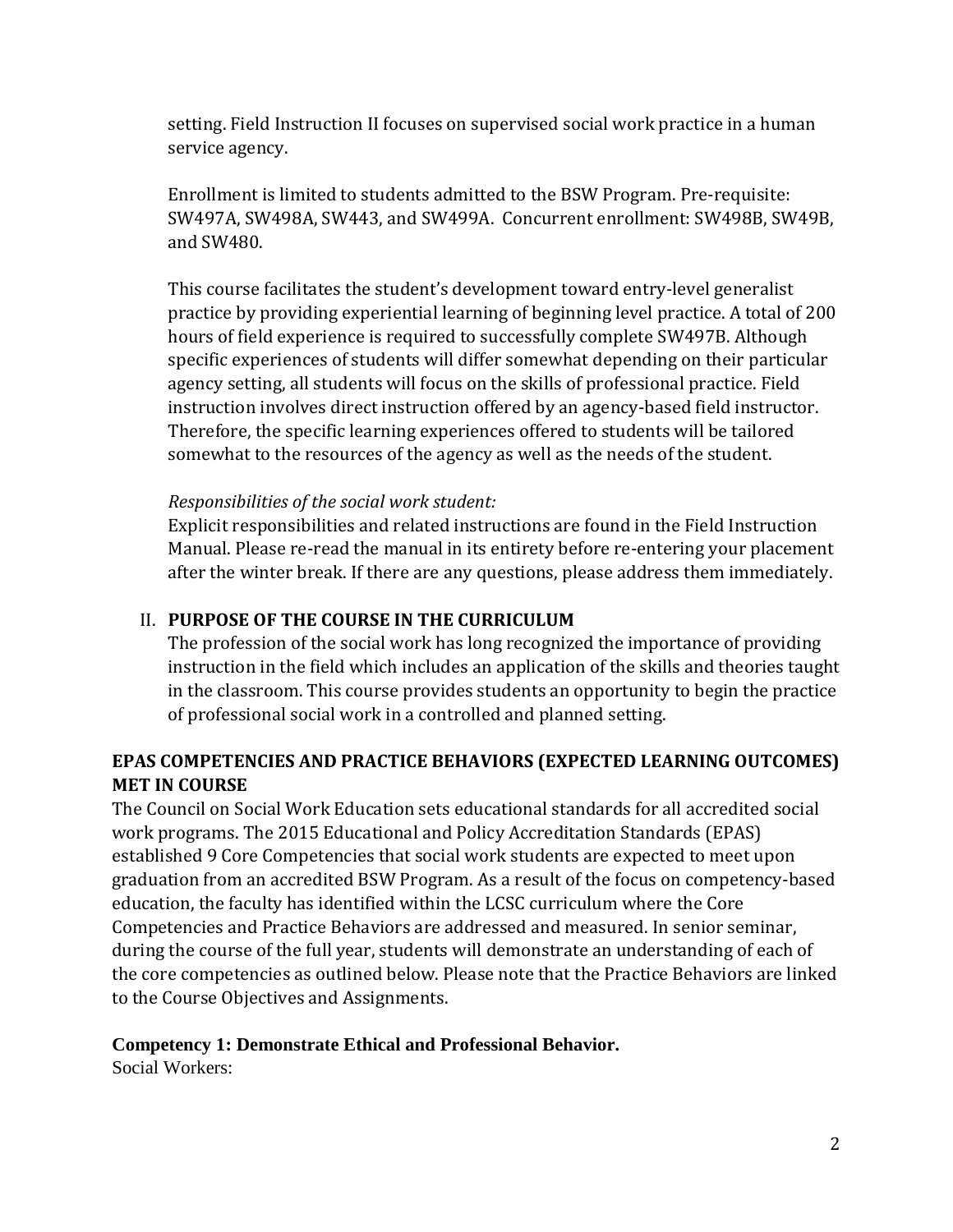setting. Field Instruction II focuses on supervised social work practice in a human service agency.

Enrollment is limited to students admitted to the BSW Program. Pre-requisite: SW497A, SW498A, SW443, and SW499A. Concurrent enrollment: SW498B, SW49B, and SW480.

This course facilitates the student's development toward entry-level generalist practice by providing experiential learning of beginning level practice. A total of 200 hours of field experience is required to successfully complete SW497B. Although specific experiences of students will differ somewhat depending on their particular agency setting, all students will focus on the skills of professional practice. Field instruction involves direct instruction offered by an agency-based field instructor. Therefore, the specific learning experiences offered to students will be tailored somewhat to the resources of the agency as well as the needs of the student.

### *Responsibilities of the social work student:*

Explicit responsibilities and related instructions are found in the Field Instruction Manual. Please re-read the manual in its entirety before re-entering your placement after the winter break. If there are any questions, please address them immediately.

### II. **PURPOSE OF THE COURSE IN THE CURRICULUM**

The profession of the social work has long recognized the importance of providing instruction in the field which includes an application of the skills and theories taught in the classroom. This course provides students an opportunity to begin the practice of professional social work in a controlled and planned setting.

## **EPAS COMPETENCIES AND PRACTICE BEHAVIORS (EXPECTED LEARNING OUTCOMES) MET IN COURSE**

The Council on Social Work Education sets educational standards for all accredited social work programs. The 2015 Educational and Policy Accreditation Standards (EPAS) established 9 Core Competencies that social work students are expected to meet upon graduation from an accredited BSW Program. As a result of the focus on competency-based education, the faculty has identified within the LCSC curriculum where the Core Competencies and Practice Behaviors are addressed and measured. In senior seminar, during the course of the full year, students will demonstrate an understanding of each of the core competencies as outlined below. Please note that the Practice Behaviors are linked to the Course Objectives and Assignments.

### **Competency 1: Demonstrate Ethical and Professional Behavior.**

Social Workers: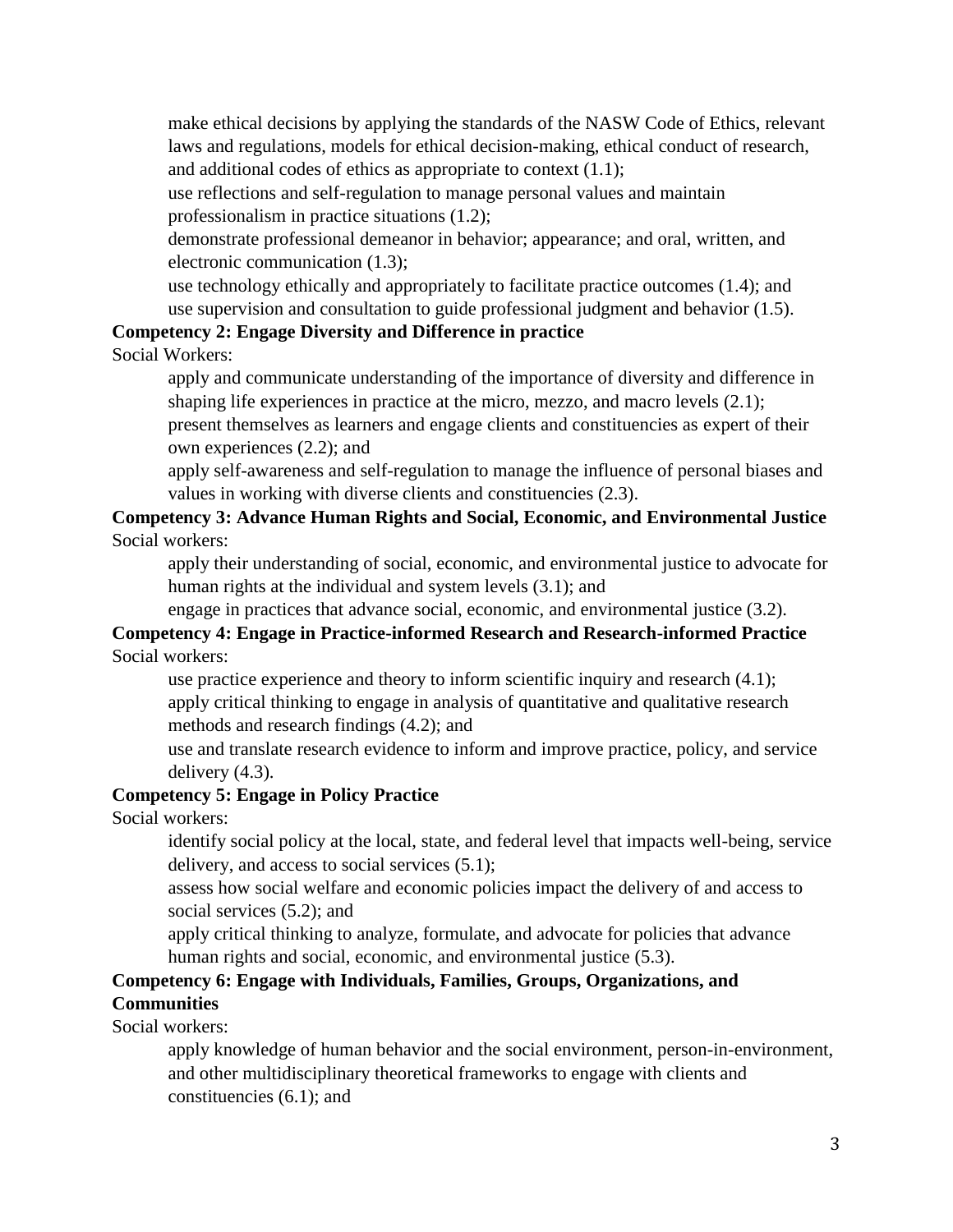make ethical decisions by applying the standards of the NASW Code of Ethics, relevant laws and regulations, models for ethical decision-making, ethical conduct of research, and additional codes of ethics as appropriate to context (1.1);

use reflections and self-regulation to manage personal values and maintain professionalism in practice situations (1.2);

demonstrate professional demeanor in behavior; appearance; and oral, written, and electronic communication (1.3);

use technology ethically and appropriately to facilitate practice outcomes (1.4); and use supervision and consultation to guide professional judgment and behavior (1.5).

#### **Competency 2: Engage Diversity and Difference in practice**

Social Workers:

apply and communicate understanding of the importance of diversity and difference in shaping life experiences in practice at the micro, mezzo, and macro levels (2.1); present themselves as learners and engage clients and constituencies as expert of their

own experiences (2.2); and

apply self-awareness and self-regulation to manage the influence of personal biases and values in working with diverse clients and constituencies (2.3).

### **Competency 3: Advance Human Rights and Social, Economic, and Environmental Justice** Social workers:

apply their understanding of social, economic, and environmental justice to advocate for human rights at the individual and system levels (3.1); and

engage in practices that advance social, economic, and environmental justice (3.2).

### **Competency 4: Engage in Practice-informed Research and Research-informed Practice** Social workers:

use practice experience and theory to inform scientific inquiry and research (4.1); apply critical thinking to engage in analysis of quantitative and qualitative research methods and research findings (4.2); and

use and translate research evidence to inform and improve practice, policy, and service delivery  $(4.3)$ .

### **Competency 5: Engage in Policy Practice**

Social workers:

identify social policy at the local, state, and federal level that impacts well-being, service delivery, and access to social services (5.1);

assess how social welfare and economic policies impact the delivery of and access to social services (5.2); and

apply critical thinking to analyze, formulate, and advocate for policies that advance human rights and social, economic, and environmental justice (5.3).

# **Competency 6: Engage with Individuals, Families, Groups, Organizations, and Communities**

Social workers:

apply knowledge of human behavior and the social environment, person-in-environment, and other multidisciplinary theoretical frameworks to engage with clients and constituencies (6.1); and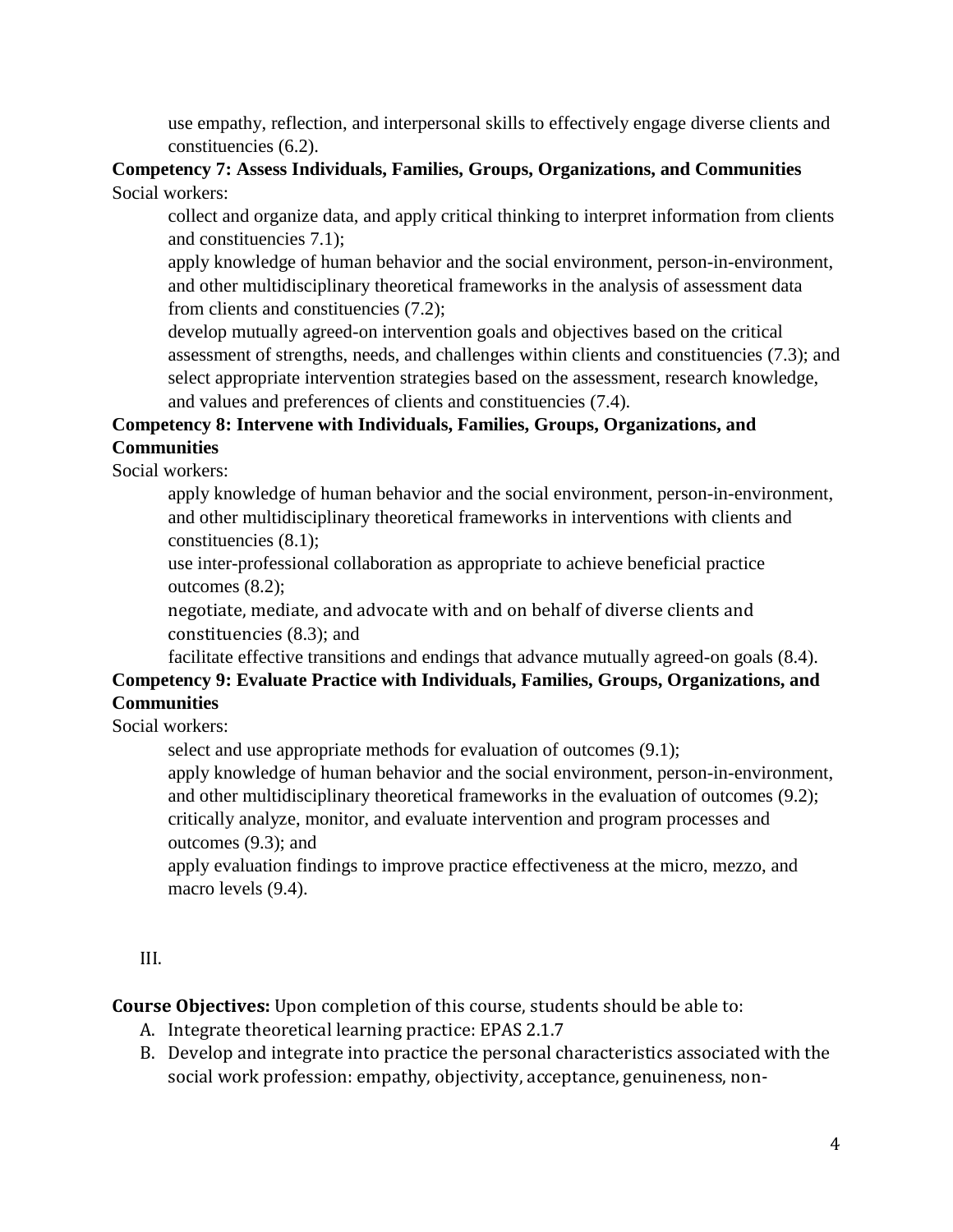use empathy, reflection, and interpersonal skills to effectively engage diverse clients and constituencies (6.2).

### **Competency 7: Assess Individuals, Families, Groups, Organizations, and Communities** Social workers:

collect and organize data, and apply critical thinking to interpret information from clients and constituencies 7.1);

apply knowledge of human behavior and the social environment, person-in-environment, and other multidisciplinary theoretical frameworks in the analysis of assessment data from clients and constituencies (7.2);

develop mutually agreed-on intervention goals and objectives based on the critical assessment of strengths, needs, and challenges within clients and constituencies (7.3); and select appropriate intervention strategies based on the assessment, research knowledge, and values and preferences of clients and constituencies (7.4).

# **Competency 8: Intervene with Individuals, Families, Groups, Organizations, and Communities**

Social workers:

apply knowledge of human behavior and the social environment, person-in-environment, and other multidisciplinary theoretical frameworks in interventions with clients and constituencies (8.1);

use inter-professional collaboration as appropriate to achieve beneficial practice outcomes (8.2);

negotiate, mediate, and advocate with and on behalf of diverse clients and constituencies (8.3); and

facilitate effective transitions and endings that advance mutually agreed-on goals (8.4).

# **Competency 9: Evaluate Practice with Individuals, Families, Groups, Organizations, and Communities**

Social workers:

select and use appropriate methods for evaluation of outcomes (9.1);

apply knowledge of human behavior and the social environment, person-in-environment, and other multidisciplinary theoretical frameworks in the evaluation of outcomes (9.2); critically analyze, monitor, and evaluate intervention and program processes and outcomes (9.3); and

apply evaluation findings to improve practice effectiveness at the micro, mezzo, and macro levels  $(9.4)$ .

III.

**Course Objectives:** Upon completion of this course, students should be able to:

- A. Integrate theoretical learning practice: EPAS 2.1.7
- B. Develop and integrate into practice the personal characteristics associated with the social work profession: empathy, objectivity, acceptance, genuineness, non-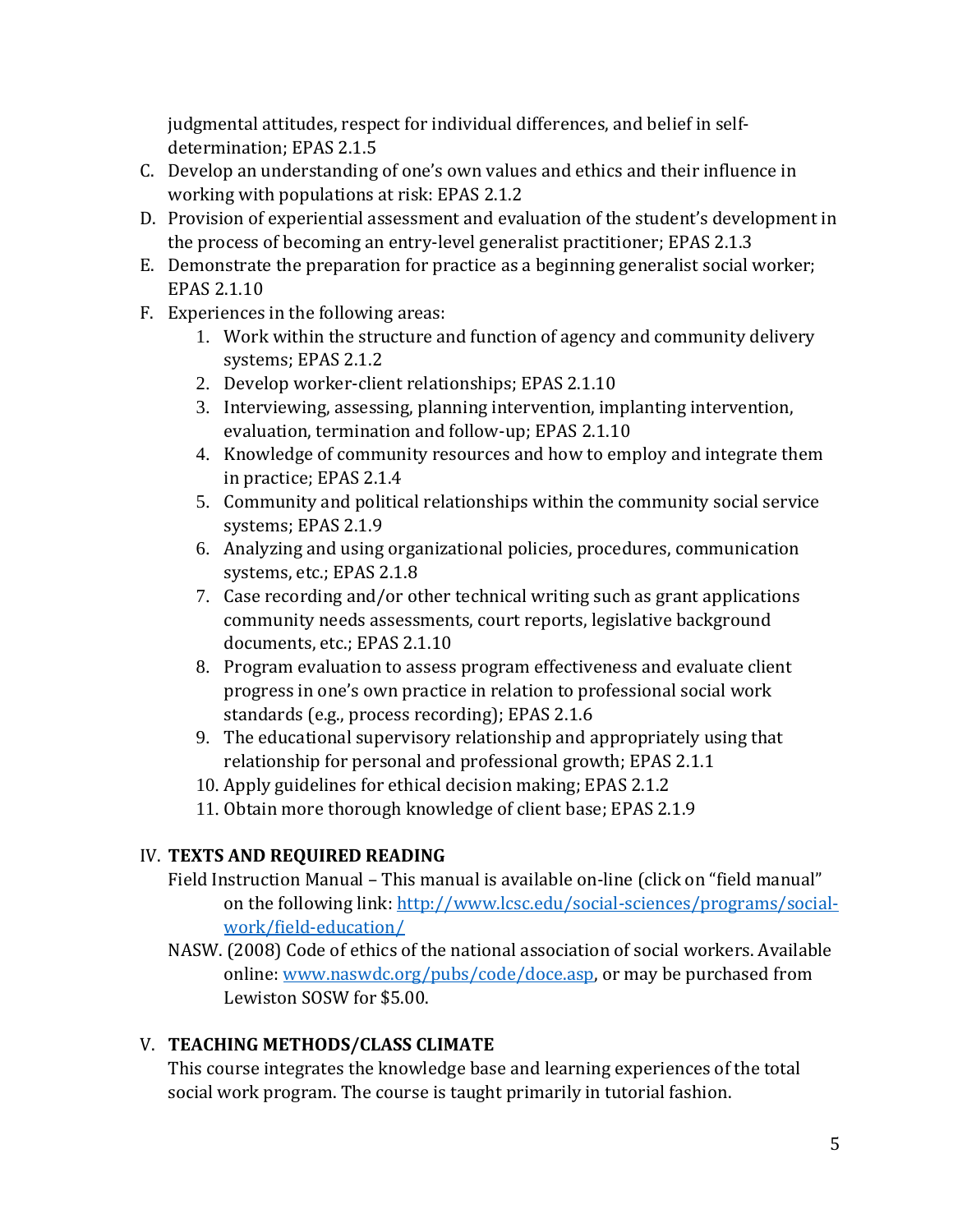judgmental attitudes, respect for individual differences, and belief in selfdetermination; EPAS 2.1.5

- C. Develop an understanding of one's own values and ethics and their influence in working with populations at risk: EPAS 2.1.2
- D. Provision of experiential assessment and evaluation of the student's development in the process of becoming an entry-level generalist practitioner; EPAS 2.1.3
- E. Demonstrate the preparation for practice as a beginning generalist social worker; EPAS 2.1.10
- F. Experiences in the following areas:
	- 1. Work within the structure and function of agency and community delivery systems; EPAS 2.1.2
	- 2. Develop worker-client relationships; EPAS 2.1.10
	- 3. Interviewing, assessing, planning intervention, implanting intervention, evaluation, termination and follow-up; EPAS 2.1.10
	- 4. Knowledge of community resources and how to employ and integrate them in practice; EPAS 2.1.4
	- 5. Community and political relationships within the community social service systems; EPAS 2.1.9
	- 6. Analyzing and using organizational policies, procedures, communication systems, etc.; EPAS 2.1.8
	- 7. Case recording and/or other technical writing such as grant applications community needs assessments, court reports, legislative background documents, etc.; EPAS 2.1.10
	- 8. Program evaluation to assess program effectiveness and evaluate client progress in one's own practice in relation to professional social work standards (e.g., process recording); EPAS 2.1.6
	- 9. The educational supervisory relationship and appropriately using that relationship for personal and professional growth; EPAS 2.1.1
	- 10. Apply guidelines for ethical decision making; EPAS 2.1.2
	- 11. Obtain more thorough knowledge of client base; EPAS 2.1.9

# IV. **TEXTS AND REQUIRED READING**

- Field Instruction Manual This manual is available on-line (click on "field manual" on the following link: [http://www.lcsc.edu/social-sciences/programs/social](http://www.lcsc.edu/social-sciences/programs/social-work/field-education/)[work/field-education/](http://www.lcsc.edu/social-sciences/programs/social-work/field-education/)
- NASW. (2008) Code of ethics of the national association of social workers. Available online: [www.naswdc.org/pubs/code/doce.asp,](http://www.naswdc.org/pubs/code/doce.asp) or may be purchased from Lewiston SOSW for \$5.00.

# V. **TEACHING METHODS/CLASS CLIMATE**

This course integrates the knowledge base and learning experiences of the total social work program. The course is taught primarily in tutorial fashion.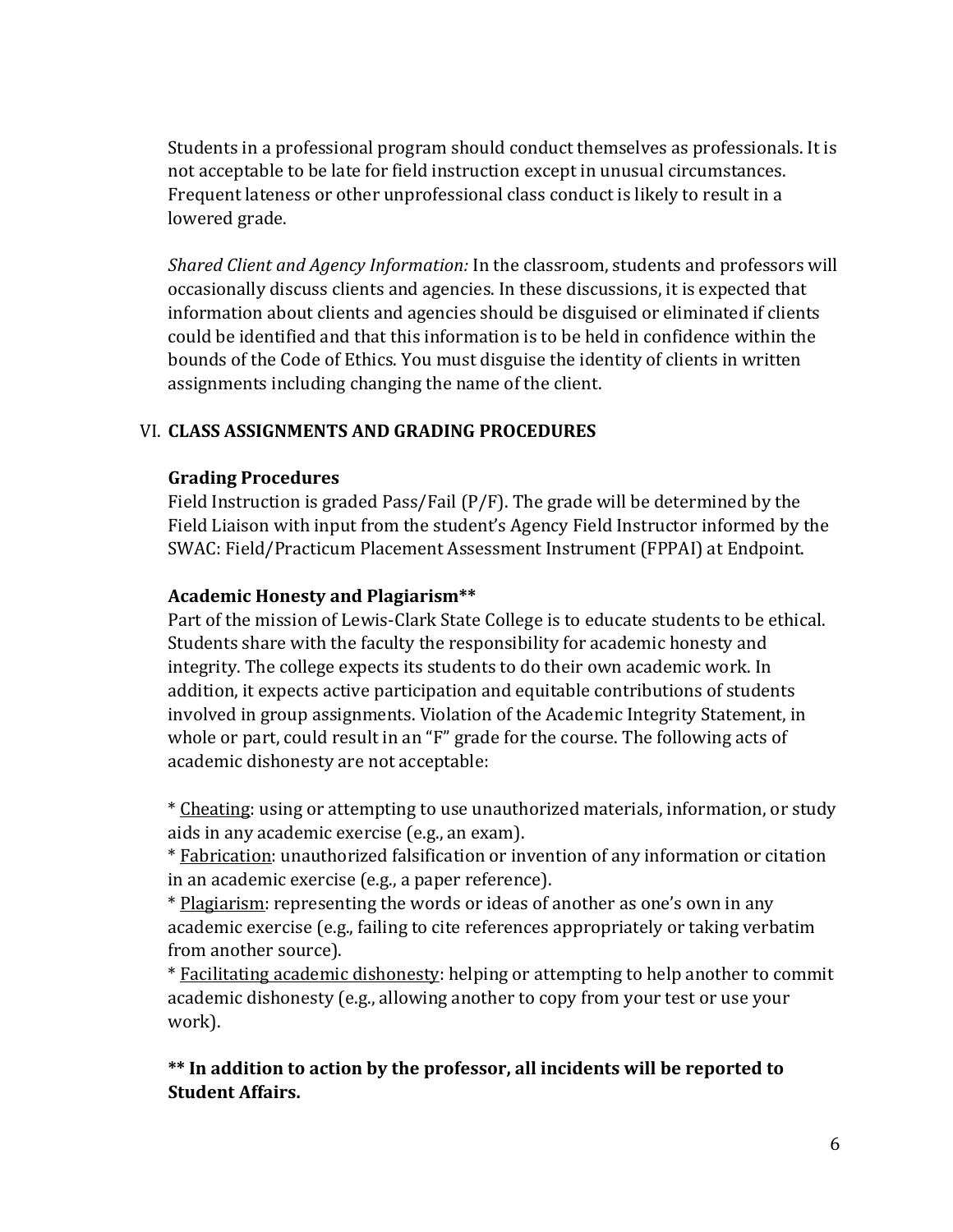Students in a professional program should conduct themselves as professionals. It is not acceptable to be late for field instruction except in unusual circumstances. Frequent lateness or other unprofessional class conduct is likely to result in a lowered grade.

*Shared Client and Agency Information:* In the classroom, students and professors will occasionally discuss clients and agencies. In these discussions, it is expected that information about clients and agencies should be disguised or eliminated if clients could be identified and that this information is to be held in confidence within the bounds of the Code of Ethics. You must disguise the identity of clients in written assignments including changing the name of the client.

#### VI. **CLASS ASSIGNMENTS AND GRADING PROCEDURES**

#### **Grading Procedures**

Field Instruction is graded Pass/Fail (P/F). The grade will be determined by the Field Liaison with input from the student's Agency Field Instructor informed by the SWAC: Field/Practicum Placement Assessment Instrument (FPPAI) at Endpoint.

#### **Academic Honesty and Plagiarism\*\***

Part of the mission of Lewis-Clark State College is to educate students to be ethical. Students share with the faculty the responsibility for academic honesty and integrity. The college expects its students to do their own academic work. In addition, it expects active participation and equitable contributions of students involved in group assignments. Violation of the Academic Integrity Statement, in whole or part, could result in an "F" grade for the course. The following acts of academic dishonesty are not acceptable:

\* Cheating: using or attempting to use unauthorized materials, information, or study aids in any academic exercise (e.g., an exam).

\* Fabrication: unauthorized falsification or invention of any information or citation in an academic exercise (e.g., a paper reference).

\* Plagiarism: representing the words or ideas of another as one's own in any academic exercise (e.g., failing to cite references appropriately or taking verbatim from another source).

\* Facilitating academic dishonesty: helping or attempting to help another to commit academic dishonesty (e.g., allowing another to copy from your test or use your work).

**\*\* In addition to action by the professor, all incidents will be reported to Student Affairs.**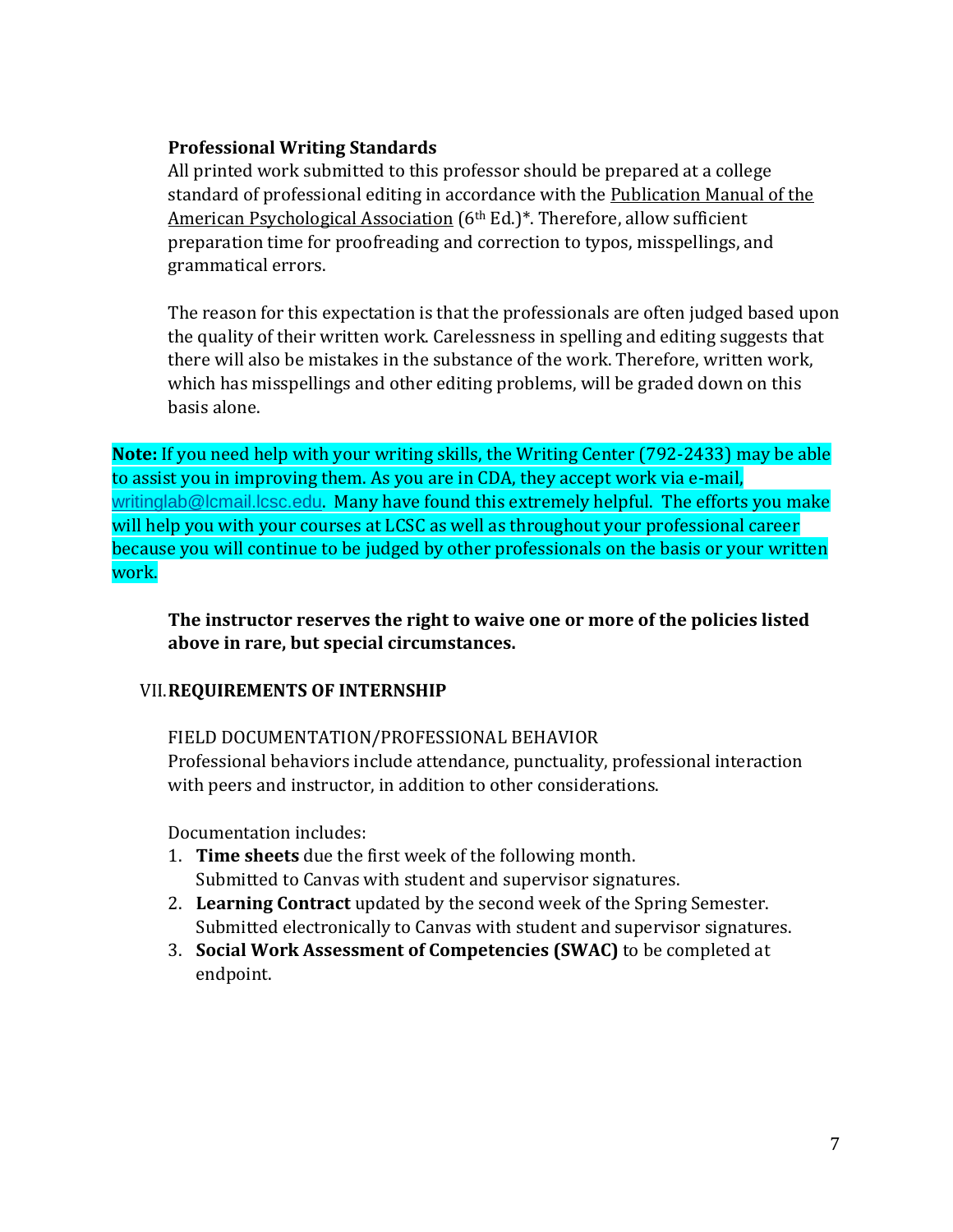### **Professional Writing Standards**

All printed work submitted to this professor should be prepared at a college standard of professional editing in accordance with the Publication Manual of the American Psychological Association (6<sup>th</sup> Ed.)<sup>\*</sup>. Therefore, allow sufficient preparation time for proofreading and correction to typos, misspellings, and grammatical errors.

The reason for this expectation is that the professionals are often judged based upon the quality of their written work. Carelessness in spelling and editing suggests that there will also be mistakes in the substance of the work. Therefore, written work, which has misspellings and other editing problems, will be graded down on this basis alone.

**Note:** If you need help with your writing skills, the Writing Center (792-2433) may be able to assist you in improving them. As you are in CDA, they accept work via e-mail, [writinglab@lcmail.lcsc.edu](mailto:writinglab@lcmail.lcsc.edu). Many have found this extremely helpful. The efforts you make will help you with your courses at LCSC as well as throughout your professional career because you will continue to be judged by other professionals on the basis or your written work.

**The instructor reserves the right to waive one or more of the policies listed above in rare, but special circumstances.**

#### VII.**REQUIREMENTS OF INTERNSHIP**

FIELD DOCUMENTATION/PROFESSIONAL BEHAVIOR

Professional behaviors include attendance, punctuality, professional interaction with peers and instructor, in addition to other considerations.

Documentation includes:

- 1. **Time sheets** due the first week of the following month. Submitted to Canvas with student and supervisor signatures.
- 2. **Learning Contract** updated by the second week of the Spring Semester. Submitted electronically to Canvas with student and supervisor signatures.
- 3. **Social Work Assessment of Competencies (SWAC)** to be completed at endpoint.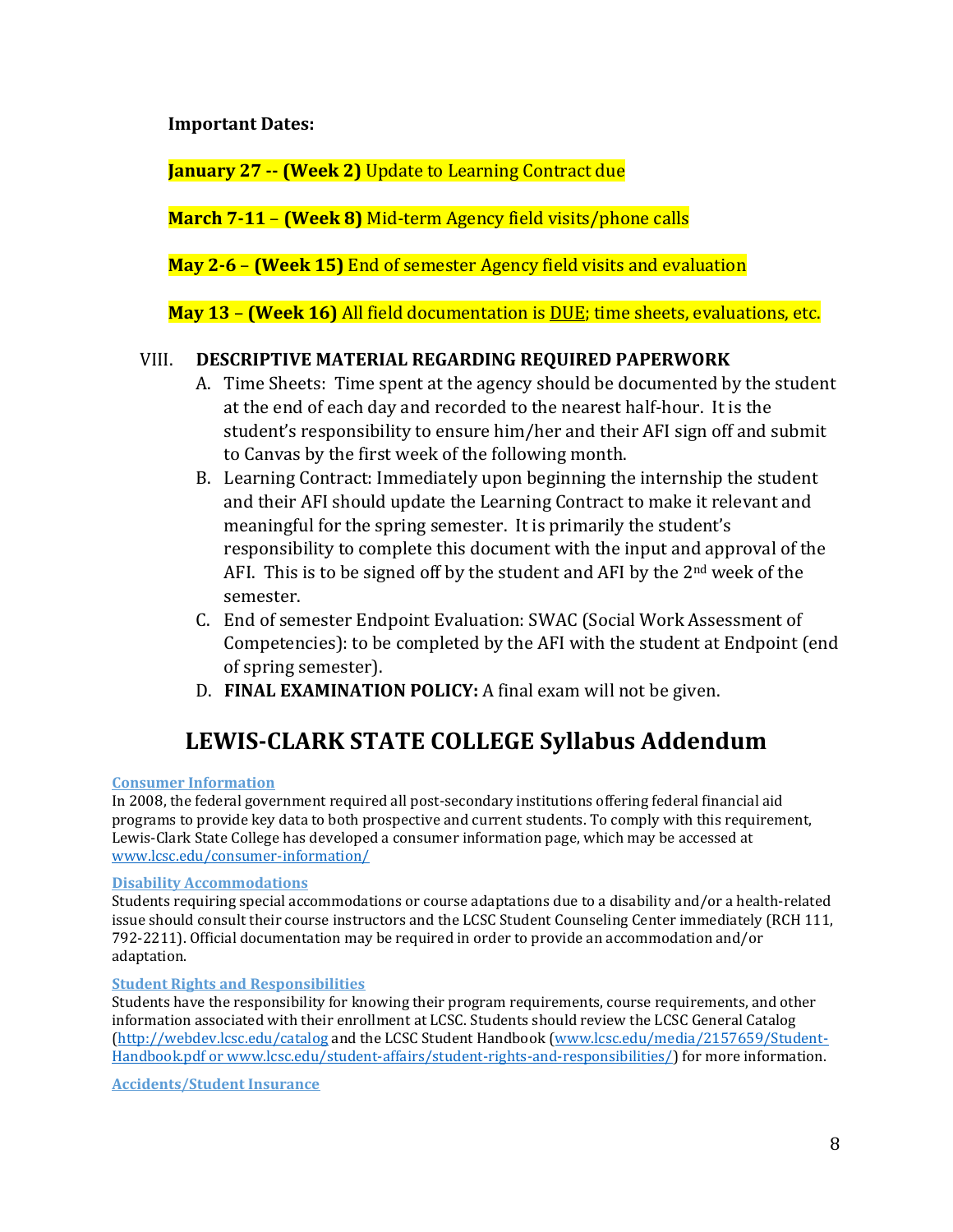**Important Dates:**

**January 27 -- (Week 2)** Update to Learning Contract due

**March 7-11** – **(Week 8)** Mid-term Agency field visits/phone calls

**May 2-6** – **(Week 15)** End of semester Agency field visits and evaluation

**May 13** – **(Week 16)** All field documentation is DUE; time sheets, evaluations, etc.

### VIII. **DESCRIPTIVE MATERIAL REGARDING REQUIRED PAPERWORK**

- A. Time Sheets: Time spent at the agency should be documented by the student at the end of each day and recorded to the nearest half-hour. It is the student's responsibility to ensure him/her and their AFI sign off and submit to Canvas by the first week of the following month.
- B. Learning Contract: Immediately upon beginning the internship the student and their AFI should update the Learning Contract to make it relevant and meaningful for the spring semester. It is primarily the student's responsibility to complete this document with the input and approval of the AFI. This is to be signed off by the student and AFI by the 2<sup>nd</sup> week of the semester.
- C. End of semester Endpoint Evaluation: SWAC (Social Work Assessment of Competencies): to be completed by the AFI with the student at Endpoint (end of spring semester).
- D. **FINAL EXAMINATION POLICY:** A final exam will not be given.

# **LEWIS-CLARK STATE COLLEGE Syllabus Addendum**

#### **Consumer Information**

In 2008, the federal government required all post-secondary institutions offering federal financial aid programs to provide key data to both prospective and current students. To comply with this requirement, Lewis-Clark State College has developed a consumer information page, which may be accessed at [www.lcsc.edu/consumer-information/](http://www.lcsc.edu/consumer-information/)

#### **Disability Accommodations**

Students requiring special accommodations or course adaptations due to a disability and/or a health-related issue should consult their course instructors and the LCSC Student Counseling Center immediately (RCH 111, 792-2211). Official documentation may be required in order to provide an accommodation and/or adaptation.

#### **Student Rights and Responsibilities**

Students have the responsibility for knowing their program requirements, course requirements, and other information associated with their enrollment at LCSC. Students should review the LCSC General Catalog [\(http://webdev.lcsc.edu/catalog](http://webdev.lcsc.edu/catalog) and the LCSC Student Handbook [\(www.lcsc.edu/media/2157659/Student-](http://www.lcsc.edu/media/2157659/Student-Handbook.pdf)[Handbook.pdf](http://www.lcsc.edu/media/2157659/Student-Handbook.pdf) or [www.lcsc.edu/student-affairs/student-rights-and-responsibilities/\)](http://www.lcsc.edu/student-affairs/student-rights-and-responsibilities/) for more information.

**Accidents/Student Insurance**